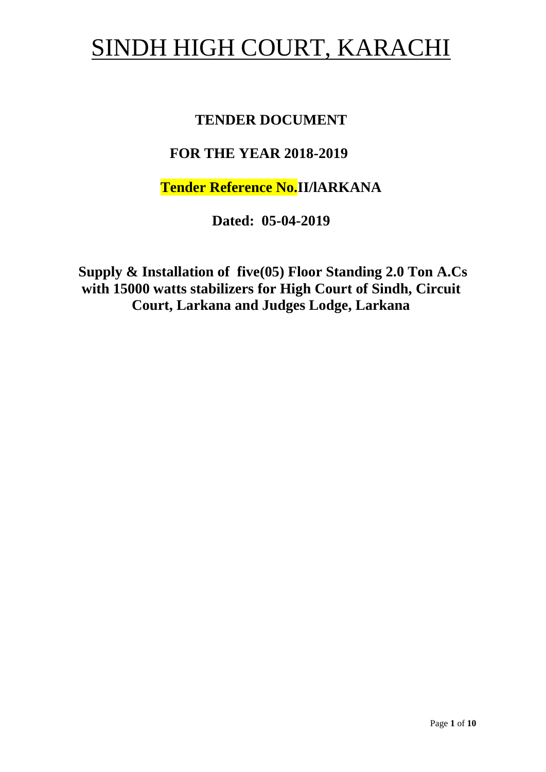# SINDH HIGH COURT, KARACHI

## **TENDER DOCUMENT**

## **FOR THE YEAR 2018-2019**

**Tender Reference No.II/lARKANA**

**Dated: 05-04-2019**

**Supply & Installation of five(05) Floor Standing 2.0 Ton A.Cs with 15000 watts stabilizers for High Court of Sindh, Circuit Court, Larkana and Judges Lodge, Larkana**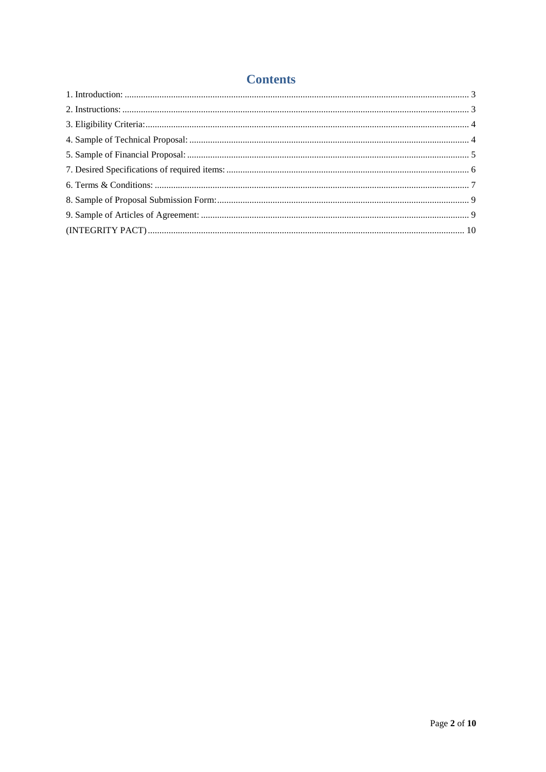#### **Contents**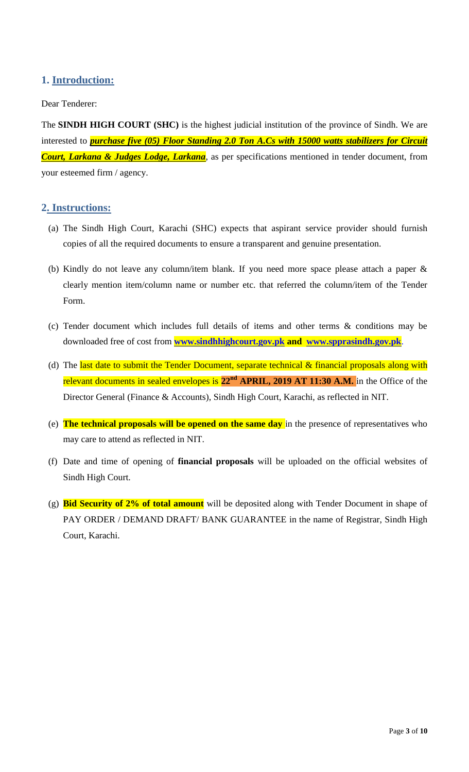## <span id="page-2-1"></span><span id="page-2-0"></span>**1. Introduction:**

#### Dear Tenderer:

The **SINDH HIGH COURT (SHC)** is the highest judicial institution of the province of [Sindh.](https://en.wikipedia.org/wiki/Sindh) We are interested to *purchase five (05) Floor Standing 2.0 Ton A.Cs with 15000 watts stabilizers for Circuit Court, Larkana & Judges Lodge, Larkana*, as per specifications mentioned in tender document, from your esteemed firm / agency.

#### **2. Instructions:**

- (a) The Sindh High Court, Karachi (SHC) expects that aspirant service provider should furnish copies of all the required documents to ensure a transparent and genuine presentation.
- (b) Kindly do not leave any column/item blank. If you need more space please attach a paper & clearly mention item/column name or number etc. that referred the column/item of the Tender Form.
- (c) Tender document which includes full details of items and other terms & conditions may be downloaded free of cost from **[www.sindhhighcourt.gov.pk](http://www.sindhhighcourt.gov.pk/) and [www.spprasindh.gov.pk](http://www.spprasindh.gov.pk/)**.
- (d) The last date to submit the Tender Document, separate technical  $\&$  financial proposals along with relevant documents in sealed envelopes is **22nd APRIL, 2019 AT 11:30 A.M.** in the Office of the Director General (Finance & Accounts), Sindh High Court, Karachi, as reflected in NIT.
- (e) **The technical proposals will be opened on the same day** in the presence of representatives who may care to attend as reflected in NIT.
- (f) Date and time of opening of **financial proposals** will be uploaded on the official websites of Sindh High Court.
- (g) **Bid Security of 2% of total amount** will be deposited along with Tender Document in shape of PAY ORDER / DEMAND DRAFT/ BANK GUARANTEE in the name of Registrar, Sindh High Court, Karachi.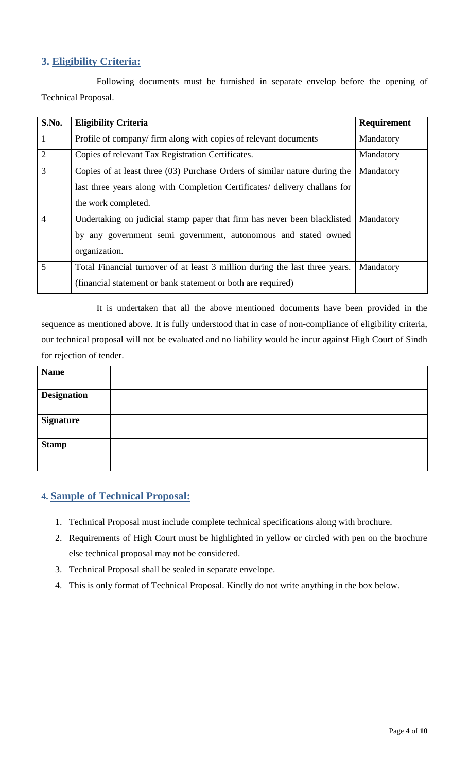## <span id="page-3-0"></span>**3. Eligibility Criteria:**

Following documents must be furnished in separate envelop before the opening of Technical Proposal.

| S.No.          | <b>Eligibility Criteria</b>                                                 | Requirement |
|----------------|-----------------------------------------------------------------------------|-------------|
| 1              | Profile of company/firm along with copies of relevant documents             | Mandatory   |
| $\overline{2}$ | Copies of relevant Tax Registration Certificates.                           | Mandatory   |
| 3              | Copies of at least three (03) Purchase Orders of similar nature during the  | Mandatory   |
|                | last three years along with Completion Certificates/ delivery challans for  |             |
|                | the work completed.                                                         |             |
| $\overline{4}$ | Undertaking on judicial stamp paper that firm has never been blacklisted    | Mandatory   |
|                | by any government semi government, autonomous and stated owned              |             |
|                | organization.                                                               |             |
| 5              | Total Financial turnover of at least 3 million during the last three years. | Mandatory   |
|                | (financial statement or bank statement or both are required)                |             |

It is undertaken that all the above mentioned documents have been provided in the sequence as mentioned above. It is fully understood that in case of non-compliance of eligibility criteria, our technical proposal will not be evaluated and no liability would be incur against High Court of Sindh for rejection of tender.

<span id="page-3-1"></span>

| <b>Name</b>        |  |
|--------------------|--|
| <b>Designation</b> |  |
|                    |  |
| <b>Signature</b>   |  |
| <b>Stamp</b>       |  |
|                    |  |

## **4. Sample of Technical Proposal:**

- 1. Technical Proposal must include complete technical specifications along with brochure.
- 2. Requirements of High Court must be highlighted in yellow or circled with pen on the brochure else technical proposal may not be considered.
- 3. Technical Proposal shall be sealed in separate envelope.
- 4. This is only format of Technical Proposal. Kindly do not write anything in the box below.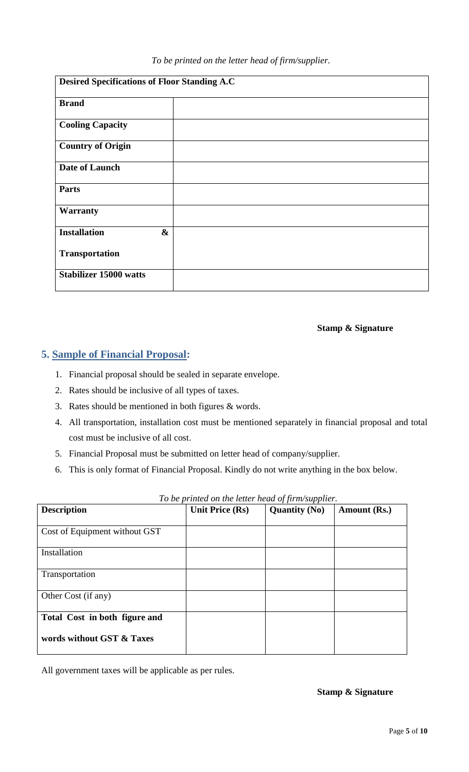| To be printed on the letter head of firm/supplier. |  |  |  |  |  |  |  |
|----------------------------------------------------|--|--|--|--|--|--|--|
|----------------------------------------------------|--|--|--|--|--|--|--|

| <b>Desired Specifications of Floor Standing A.C</b> |  |  |  |  |
|-----------------------------------------------------|--|--|--|--|
| <b>Brand</b>                                        |  |  |  |  |
| <b>Cooling Capacity</b>                             |  |  |  |  |
| <b>Country of Origin</b>                            |  |  |  |  |
| Date of Launch                                      |  |  |  |  |
| <b>Parts</b>                                        |  |  |  |  |
| <b>Warranty</b>                                     |  |  |  |  |
| <b>Installation</b><br>$\boldsymbol{\&}$            |  |  |  |  |
| <b>Transportation</b>                               |  |  |  |  |
| <b>Stabilizer 15000 watts</b>                       |  |  |  |  |

#### **Stamp & Signature**

#### <span id="page-4-0"></span>**5. Sample of Financial Proposal:**

- 1. Financial proposal should be sealed in separate envelope.
- 2. Rates should be inclusive of all types of taxes.
- 3. Rates should be mentioned in both figures & words.
- 4. All transportation, installation cost must be mentioned separately in financial proposal and total cost must be inclusive of all cost.
- 5. Financial Proposal must be submitted on letter head of company/supplier.
- 6. This is only format of Financial Proposal. Kindly do not write anything in the box below.

| <b>Description</b>            | <b>Unit Price (Rs)</b> | <b>Quantity (No)</b> | Amount (Rs.) |
|-------------------------------|------------------------|----------------------|--------------|
| Cost of Equipment without GST |                        |                      |              |
| Installation                  |                        |                      |              |
| Transportation                |                        |                      |              |
| Other Cost (if any)           |                        |                      |              |
| Total Cost in both figure and |                        |                      |              |
| words without GST & Taxes     |                        |                      |              |

*To be printed on the letter head of firm/supplier.*

All government taxes will be applicable as per rules.

**Stamp & Signature**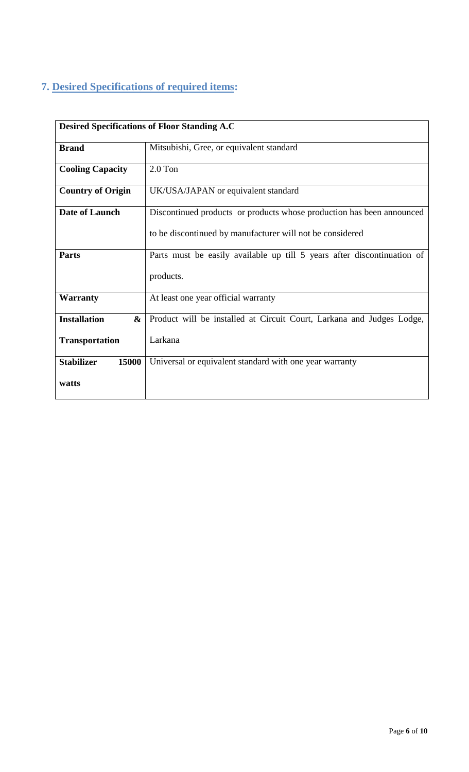## <span id="page-5-0"></span>**7. Desired Specifications of required items:**

| <b>Desired Specifications of Floor Standing A.C</b>                                     |                                                                       |  |  |  |
|-----------------------------------------------------------------------------------------|-----------------------------------------------------------------------|--|--|--|
| <b>Brand</b>                                                                            | Mitsubishi, Gree, or equivalent standard                              |  |  |  |
| <b>Cooling Capacity</b>                                                                 | $2.0$ Ton                                                             |  |  |  |
| <b>Country of Origin</b>                                                                | UK/USA/JAPAN or equivalent standard                                   |  |  |  |
| <b>Date of Launch</b>                                                                   | Discontinued products or products whose production has been announced |  |  |  |
|                                                                                         | to be discontinued by manufacturer will not be considered             |  |  |  |
| Parts must be easily available up till 5 years after discontinuation of<br><b>Parts</b> |                                                                       |  |  |  |
|                                                                                         | products.                                                             |  |  |  |
| <b>Warranty</b>                                                                         | At least one year official warranty                                   |  |  |  |
| <b>Installation</b><br>&                                                                | Product will be installed at Circuit Court, Larkana and Judges Lodge, |  |  |  |
| <b>Transportation</b>                                                                   | Larkana                                                               |  |  |  |
| 15000<br><b>Stabilizer</b>                                                              | Universal or equivalent standard with one year warranty               |  |  |  |
| watts                                                                                   |                                                                       |  |  |  |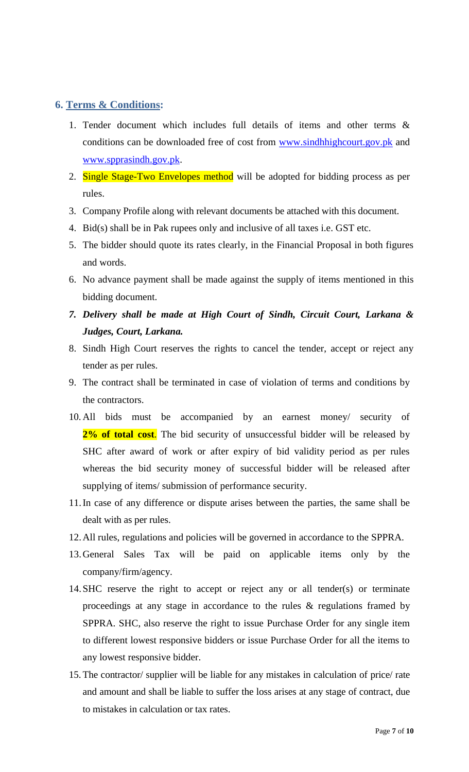#### <span id="page-6-0"></span>**6. Terms & Conditions:**

- 1. Tender document which includes full details of items and other terms & conditions can be downloaded free of cost from [www.sindhhighcourt.gov.pk](http://www.sindhhighcourt.gov.pk/) and [www.spprasindh.gov.pk.](http://www.spprasindh.gov.pk/)
- 2. Single Stage-Two Envelopes method will be adopted for bidding process as per rules.
- 3. Company Profile along with relevant documents be attached with this document.
- 4. Bid(s) shall be in Pak rupees only and inclusive of all taxes i.e. GST etc.
- 5. The bidder should quote its rates clearly, in the Financial Proposal in both figures and words.
- 6. No advance payment shall be made against the supply of items mentioned in this bidding document.
- *7. Delivery shall be made at High Court of Sindh, Circuit Court, Larkana & Judges, Court, Larkana.*
- 8. Sindh High Court reserves the rights to cancel the tender, accept or reject any tender as per rules.
- 9. The contract shall be terminated in case of violation of terms and conditions by the contractors.
- 10. All bids must be accompanied by an earnest money/ security of 2% of total cost. The bid security of unsuccessful bidder will be released by SHC after award of work or after expiry of bid validity period as per rules whereas the bid security money of successful bidder will be released after supplying of items/ submission of performance security.
- 11.In case of any difference or dispute arises between the parties, the same shall be dealt with as per rules.
- 12.All rules, regulations and policies will be governed in accordance to the SPPRA.
- 13.General Sales Tax will be paid on applicable items only by the company/firm/agency.
- 14.SHC reserve the right to accept or reject any or all tender(s) or terminate proceedings at any stage in accordance to the rules & regulations framed by SPPRA. SHC, also reserve the right to issue Purchase Order for any single item to different lowest responsive bidders or issue Purchase Order for all the items to any lowest responsive bidder.
- 15. The contractor/ supplier will be liable for any mistakes in calculation of price/ rate and amount and shall be liable to suffer the loss arises at any stage of contract, due to mistakes in calculation or tax rates.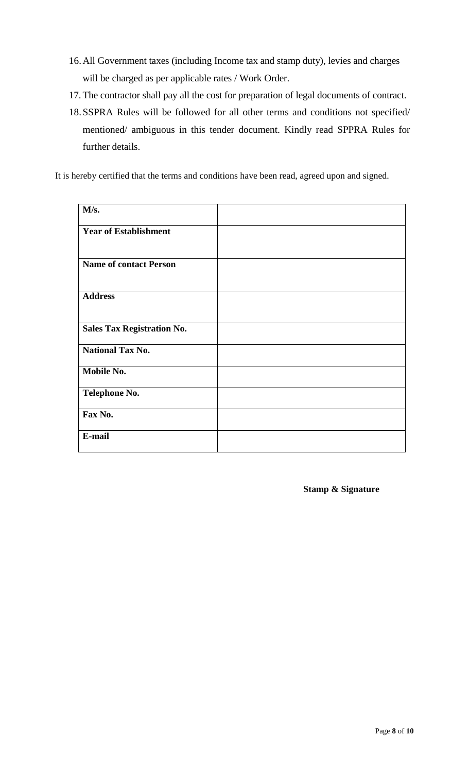- 16.All Government taxes (including Income tax and stamp duty), levies and charges will be charged as per applicable rates / Work Order.
- 17. The contractor shall pay all the cost for preparation of legal documents of contract.
- 18.SSPRA Rules will be followed for all other terms and conditions not specified/ mentioned/ ambiguous in this tender document. Kindly read SPPRA Rules for further details.

It is hereby certified that the terms and conditions have been read, agreed upon and signed.

| M/s.                              |  |
|-----------------------------------|--|
| <b>Year of Establishment</b>      |  |
| <b>Name of contact Person</b>     |  |
| <b>Address</b>                    |  |
| <b>Sales Tax Registration No.</b> |  |
| <b>National Tax No.</b>           |  |
| Mobile No.                        |  |
| <b>Telephone No.</b>              |  |
| Fax No.                           |  |
| E-mail                            |  |

**Stamp & Signature**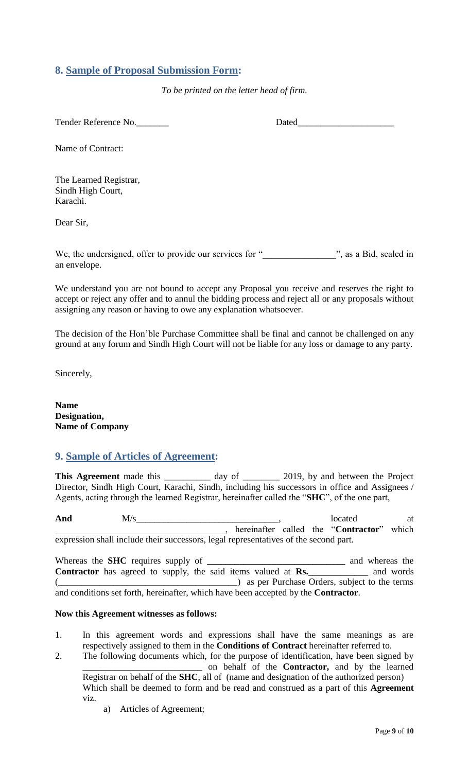#### <span id="page-8-0"></span>**8. Sample of Proposal Submission Form:**

*To be printed on the letter head of firm.*

Tender Reference No.\_\_\_\_\_\_\_ Dated\_\_\_\_\_\_\_\_\_\_\_\_\_\_\_\_\_\_\_\_\_

Name of Contract:

The Learned Registrar, Sindh High Court, Karachi.

Dear Sir,

We, the undersigned, offer to provide our services for " ... ", as a Bid, sealed in an envelope.

<span id="page-8-1"></span>We understand you are not bound to accept any Proposal you receive and reserves the right to accept or reject any offer and to annul the bidding process and reject all or any proposals without assigning any reason or having to owe any explanation whatsoever.

The decision of the Hon"ble Purchase Committee shall be final and cannot be challenged on any ground at any forum and Sindh High Court will not be liable for any loss or damage to any party.

Sincerely,

**Name Designation, Name of Company**

## **9. Sample of Articles of Agreement:**

This Agreement made this \_\_\_\_\_\_\_\_\_ day of \_\_\_\_\_\_\_ 2019, by and between the Project Director, Sindh High Court, Karachi, Sindh, including his successors in office and Assignees / Agents, acting through the learned Registrar, hereinafter called the "**SHC**", of the one part,

And  $M/s$  at  $M/s$  at  $M/s$  at  $M/s$  at  $M$ \_\_\_\_\_\_\_\_\_\_\_\_\_\_\_\_\_\_\_\_\_\_\_\_\_\_\_\_\_\_\_\_\_\_\_\_\_, hereinafter called the "**Contractor**" which expression shall include their successors, legal representatives of the second part.

Whereas the **SHC** requires supply of **\_\_\_\_\_\_\_\_\_\_\_\_\_\_\_\_\_\_\_\_\_\_\_\_\_\_\_\_\_\_** and whereas the **Contractor** has agreed to supply, the said items valued at **Rs.**\_\_\_\_\_\_\_\_\_\_\_\_ and words (\_\_\_\_\_\_\_\_\_\_\_\_\_\_\_\_\_\_\_\_\_\_\_\_\_\_\_\_\_\_\_\_\_\_\_\_\_\_\_) as per Purchase Orders, subject to the terms and conditions set forth, hereinafter, which have been accepted by the **Contractor**.

#### **Now this Agreement witnesses as follows:**

- 1. In this agreement words and expressions shall have the same meanings as are respectively assigned to them in the **Conditions of Contract** hereinafter referred to.
- 2. The following documents which, for the purpose of identification, have been signed by \_\_\_\_\_\_\_\_\_\_\_\_\_\_\_\_\_\_\_\_\_\_\_\_\_\_ on behalf of the **Contractor,** and by the learned Registrar on behalf of the **SHC**, all of (name and designation of the authorized person) Which shall be deemed to form and be read and construed as a part of this **Agreement**  viz.
	- a) Articles of Agreement;